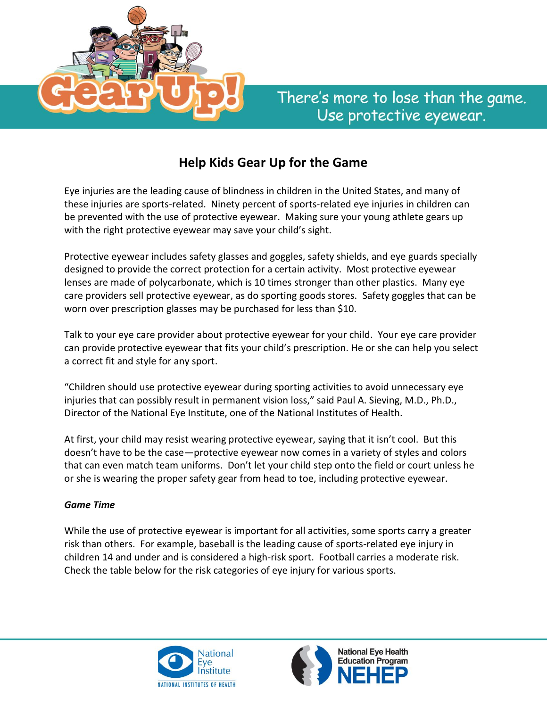

## **Help Kids Gear Up for the Game**

Eye injuries are the leading cause of blindness in children in the United States, and many of these injuries are sports-related. Ninety percent of sports-related eye injuries in children can be prevented with the use of protective eyewear. Making sure your young athlete gears up with the right protective eyewear may save your child's sight.

Protective eyewear includes safety glasses and goggles, safety shields, and eye guards specially designed to provide the correct protection for a certain activity. Most protective eyewear lenses are made of polycarbonate, which is 10 times stronger than other plastics. Many eye care providers sell protective eyewear, as do sporting goods stores. Safety goggles that can be worn over prescription glasses may be purchased for less than \$10.

Talk to your eye care provider about protective eyewear for your child. Your eye care provider can provide protective eyewear that fits your child's prescription. He or she can help you select a correct fit and style for any sport.

"Children should use protective eyewear during sporting activities to avoid unnecessary eye injuries that can possibly result in permanent vision loss," said Paul A. Sieving, M.D., Ph.D., Director of the National Eye Institute, one of the National Institutes of Health.

At first, your child may resist wearing protective eyewear, saying that it isn't cool. But this doesn't have to be the case—protective eyewear now comes in a variety of styles and colors that can even match team uniforms. Don't let your child step onto the field or court unless he or she is wearing the proper safety gear from head to toe, including protective eyewear.

## *Game Time*

While the use of protective eyewear is important for all activities, some sports carry a greater risk than others. For example, baseball is the leading cause of sports-related eye injury in children 14 and under and is considered a high-risk sport. Football carries a moderate risk. Check the table below for the risk categories of eye injury for various sports.